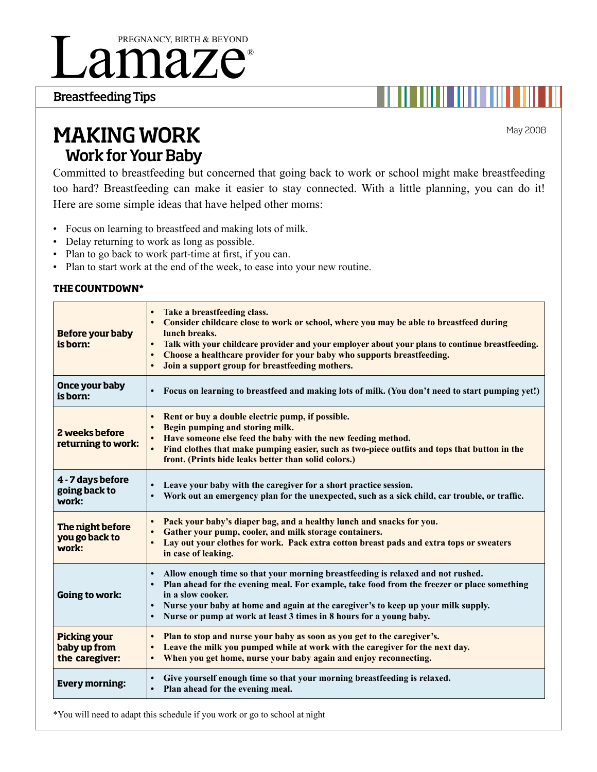# amaze® Pregnancy, Birth & Beyond

Breastfeeding Tips

May 2008

# Making Work Work for Your Baby

committed to breastfeeding but concerned that going back to work or school might make breastfeeding too hard? Breastfeeding can make it easier to stay connected. With a little planning, you can do it! Here are some simple ideas that have helped other moms:

- • Focus on learning to breastfeed and making lots of milk.
- Delay returning to work as long as possible.
- Plan to go back to work part-time at first, if you can.
- Plan to start work at the end of the week, to ease into your new routine.

### **The CounTdown\***

| <b>Before your baby</b><br>is born:                   | Take a breastfeeding class.<br>Consider childcare close to work or school, where you may be able to breastfeed during<br>lunch breaks.<br>Talk with your childcare provider and your employer about your plans to continue breastfeeding.<br>Choose a healthcare provider for your baby who supports breastfeeding.<br>Join a support group for breastfeeding mothers. |
|-------------------------------------------------------|------------------------------------------------------------------------------------------------------------------------------------------------------------------------------------------------------------------------------------------------------------------------------------------------------------------------------------------------------------------------|
| Once your baby<br>is born:                            | Focus on learning to breastfeed and making lots of milk. (You don't need to start pumping yet!)                                                                                                                                                                                                                                                                        |
| 2 weeks before<br>returning to work:                  | Rent or buy a double electric pump, if possible.<br>Begin pumping and storing milk.<br>Have someone else feed the baby with the new feeding method.<br>Find clothes that make pumping easier, such as two-piece outfits and tops that button in the<br>front. (Prints hide leaks better than solid colors.)                                                            |
| 4 - 7 days before<br>going back to<br>work:           | Leave your baby with the caregiver for a short practice session.<br>Work out an emergency plan for the unexpected, such as a sick child, car trouble, or traffic.                                                                                                                                                                                                      |
| The night before<br>you go back to<br>work:           | Pack your baby's diaper bag, and a healthy lunch and snacks for you.<br>Gather your pump, cooler, and milk storage containers.<br>Lay out your clothes for work. Pack extra cotton breast pads and extra tops or sweaters<br>in case of leaking.                                                                                                                       |
| Going to work:                                        | Allow enough time so that your morning breastfeeding is relaxed and not rushed.<br>Plan ahead for the evening meal. For example, take food from the freezer or place something<br>in a slow cooker.<br>Nurse your baby at home and again at the caregiver's to keep up your milk supply.<br>Nurse or pump at work at least 3 times in 8 hours for a young baby.        |
| <b>Picking your</b><br>baby up from<br>the caregiver: | Plan to stop and nurse your baby as soon as you get to the caregiver's.<br>Leave the milk you pumped while at work with the caregiver for the next day.<br>When you get home, nurse your baby again and enjoy reconnecting.<br>$\bullet$                                                                                                                               |
| <b>Every morning:</b>                                 | Give yourself enough time so that your morning breastfeeding is relaxed.<br>Plan ahead for the evening meal.                                                                                                                                                                                                                                                           |

\*you will need to adapt this schedule if you work or go to school at night